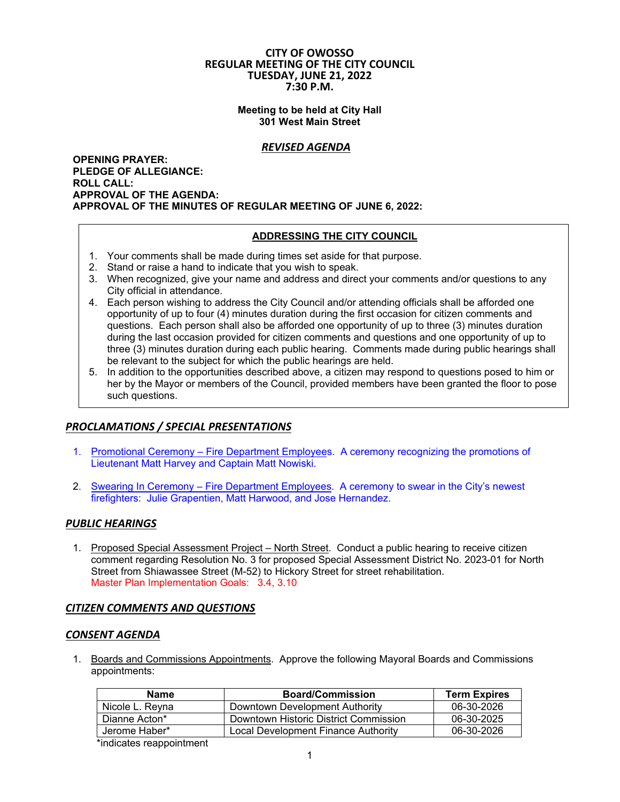#### **CITY OF OWOSSO REGULAR MEETING OF THE CITY COUNCIL TUESDAY, JUNE 21, 2022 7:30 P.M.**

**Meeting to be held at City Hall 301 West Main Street** 

## *REVISED AGENDA*

**OPENING PRAYER: PLEDGE OF ALLEGIANCE: ROLL CALL: APPROVAL OF THE AGENDA: APPROVAL OF THE MINUTES OF REGULAR MEETING OF JUNE 6, 2022:** 

#### **ADDRESSING THE CITY COUNCIL**

- 1. Your comments shall be made during times set aside for that purpose.
- 2. Stand or raise a hand to indicate that you wish to speak.
- 3. When recognized, give your name and address and direct your comments and/or questions to any City official in attendance.
- 4. Each person wishing to address the City Council and/or attending officials shall be afforded one opportunity of up to four (4) minutes duration during the first occasion for citizen comments and questions. Each person shall also be afforded one opportunity of up to three (3) minutes duration during the last occasion provided for citizen comments and questions and one opportunity of up to three (3) minutes duration during each public hearing. Comments made during public hearings shall be relevant to the subject for which the public hearings are held.
- 5. In addition to the opportunities described above, a citizen may respond to questions posed to him or her by the Mayor or members of the Council, provided members have been granted the floor to pose such questions.

## *PROCLAMATIONS / SPECIAL PRESENTATIONS*

- 1. Promotional Ceremony Fire Department Employees. A ceremony recognizing the promotions of Lieutenant Matt Harvey and Captain Matt Nowiski.
- 2. Swearing In Ceremony Fire Department Employees. A ceremony to swear in the City's newest firefighters: Julie Grapentien, Matt Harwood, and Jose Hernandez.

## *PUBLIC HEARINGS*

1. Proposed Special Assessment Project – North Street. Conduct a public hearing to receive citizen comment regarding Resolution No. 3 for proposed Special Assessment District No. 2023-01 for North Street from Shiawassee Street (M-52) to Hickory Street for street rehabilitation. Master Plan Implementation Goals: 3.4, 3.10

## *CITIZEN COMMENTS AND QUESTIONS*

#### *CONSENT AGENDA*

1. Boards and Commissions Appointments. Approve the following Mayoral Boards and Commissions appointments:

| Name            | <b>Board/Commission</b>               | <b>Term Expires</b> |
|-----------------|---------------------------------------|---------------------|
| Nicole L. Revna | Downtown Development Authority        | 06-30-2026          |
| Dianne Acton*   | Downtown Historic District Commission | 06-30-2025          |
| Jerome Haber*   | Local Development Finance Authority   | 06-30-2026          |

\*indicates reappointment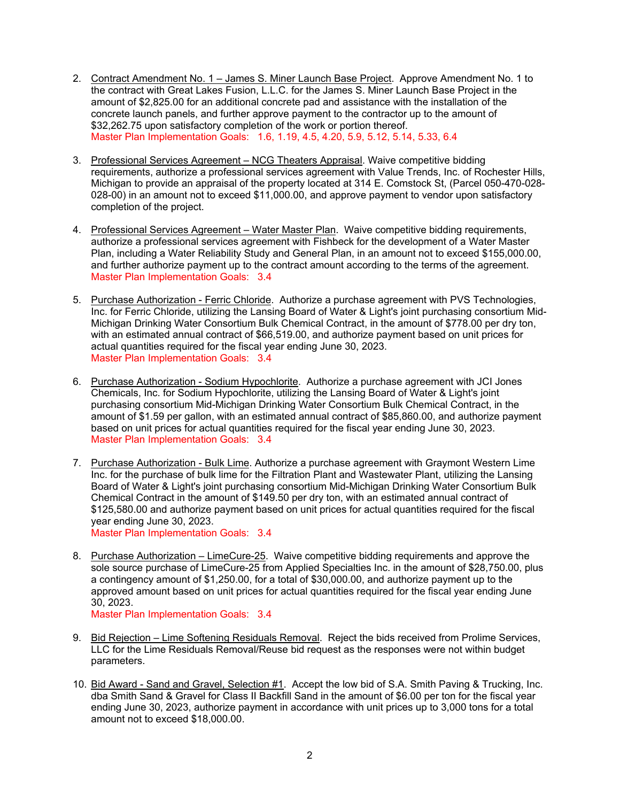- 2. Contract Amendment No. 1 James S. Miner Launch Base Project. Approve Amendment No. 1 to the contract with Great Lakes Fusion, L.L.C. for the James S. Miner Launch Base Project in the amount of \$2,825.00 for an additional concrete pad and assistance with the installation of the concrete launch panels, and further approve payment to the contractor up to the amount of \$32,262.75 upon satisfactory completion of the work or portion thereof. Master Plan Implementation Goals: 1.6, 1.19, 4.5, 4.20, 5.9, 5.12, 5.14, 5.33, 6.4
- 3. Professional Services Agreement NCG Theaters Appraisal. Waive competitive bidding requirements, authorize a professional services agreement with Value Trends, Inc. of Rochester Hills, Michigan to provide an appraisal of the property located at 314 E. Comstock St, (Parcel 050-470-028- 028-00) in an amount not to exceed \$11,000.00, and approve payment to vendor upon satisfactory completion of the project.
- 4. Professional Services Agreement Water Master Plan. Waive competitive bidding requirements, authorize a professional services agreement with Fishbeck for the development of a Water Master Plan, including a Water Reliability Study and General Plan, in an amount not to exceed \$155,000.00, and further authorize payment up to the contract amount according to the terms of the agreement. Master Plan Implementation Goals: 3.4
- 5. Purchase Authorization Ferric Chloride. Authorize a purchase agreement with PVS Technologies, Inc. for Ferric Chloride, utilizing the Lansing Board of Water & Light's joint purchasing consortium Mid-Michigan Drinking Water Consortium Bulk Chemical Contract, in the amount of \$778.00 per dry ton, with an estimated annual contract of \$66,519.00, and authorize payment based on unit prices for actual quantities required for the fiscal year ending June 30, 2023. Master Plan Implementation Goals: 3.4
- 6. Purchase Authorization Sodium Hypochlorite. Authorize a purchase agreement with JCI Jones Chemicals, Inc. for Sodium Hypochlorite, utilizing the Lansing Board of Water & Light's joint purchasing consortium Mid-Michigan Drinking Water Consortium Bulk Chemical Contract, in the amount of \$1.59 per gallon, with an estimated annual contract of \$85,860.00, and authorize payment based on unit prices for actual quantities required for the fiscal year ending June 30, 2023. Master Plan Implementation Goals: 3.4
- 7. Purchase Authorization Bulk Lime. Authorize a purchase agreement with Graymont Western Lime Inc. for the purchase of bulk lime for the Filtration Plant and Wastewater Plant, utilizing the Lansing Board of Water & Light's joint purchasing consortium Mid-Michigan Drinking Water Consortium Bulk Chemical Contract in the amount of \$149.50 per dry ton, with an estimated annual contract of \$125,580.00 and authorize payment based on unit prices for actual quantities required for the fiscal year ending June 30, 2023. Master Plan Implementation Goals: 3.4
- 8. Purchase Authorization LimeCure-25. Waive competitive bidding requirements and approve the sole source purchase of LimeCure-25 from Applied Specialties Inc. in the amount of \$28,750.00, plus a contingency amount of \$1,250.00, for a total of \$30,000.00, and authorize payment up to the approved amount based on unit prices for actual quantities required for the fiscal year ending June 30, 2023.

Master Plan Implementation Goals: 3.4

- 9. Bid Rejection Lime Softening Residuals Removal. Reject the bids received from Prolime Services, LLC for the Lime Residuals Removal/Reuse bid request as the responses were not within budget parameters.
- 10. Bid Award Sand and Gravel, Selection #1. Accept the low bid of S.A. Smith Paving & Trucking, Inc. dba Smith Sand & Gravel for Class II Backfill Sand in the amount of \$6.00 per ton for the fiscal year ending June 30, 2023, authorize payment in accordance with unit prices up to 3,000 tons for a total amount not to exceed \$18,000.00.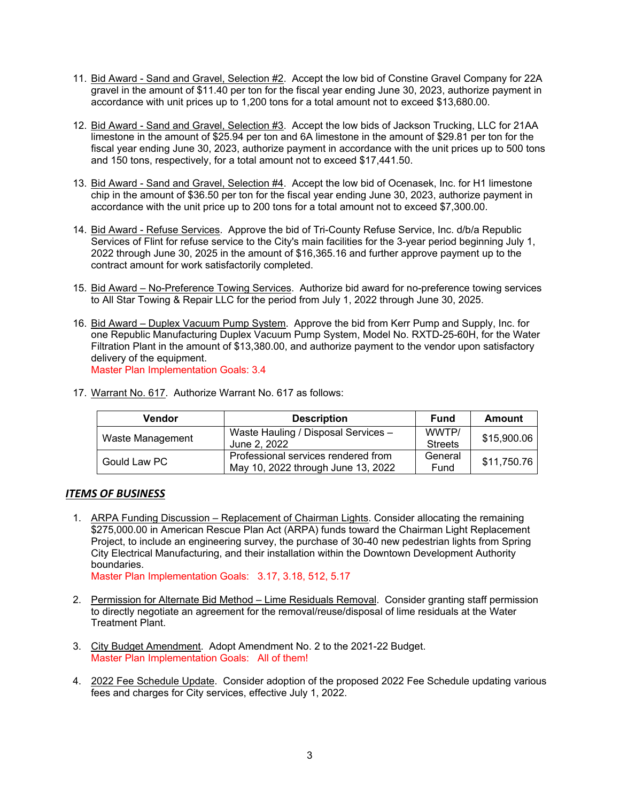- 11. Bid Award Sand and Gravel, Selection #2. Accept the low bid of Constine Gravel Company for 22A gravel in the amount of \$11.40 per ton for the fiscal year ending June 30, 2023, authorize payment in accordance with unit prices up to 1,200 tons for a total amount not to exceed \$13,680.00.
- 12. Bid Award Sand and Gravel, Selection #3. Accept the low bids of Jackson Trucking, LLC for 21AA limestone in the amount of \$25.94 per ton and 6A limestone in the amount of \$29.81 per ton for the fiscal year ending June 30, 2023, authorize payment in accordance with the unit prices up to 500 tons and 150 tons, respectively, for a total amount not to exceed \$17,441.50.
- 13. Bid Award Sand and Gravel, Selection #4. Accept the low bid of Ocenasek, Inc. for H1 limestone chip in the amount of \$36.50 per ton for the fiscal year ending June 30, 2023, authorize payment in accordance with the unit price up to 200 tons for a total amount not to exceed \$7,300.00.
- 14. Bid Award Refuse Services. Approve the bid of Tri-County Refuse Service, Inc. d/b/a Republic Services of Flint for refuse service to the City's main facilities for the 3-year period beginning July 1, 2022 through June 30, 2025 in the amount of \$16,365.16 and further approve payment up to the contract amount for work satisfactorily completed.
- 15. Bid Award No-Preference Towing Services. Authorize bid award for no-preference towing services to All Star Towing & Repair LLC for the period from July 1, 2022 through June 30, 2025.
- 16. Bid Award Duplex Vacuum Pump System. Approve the bid from Kerr Pump and Supply, Inc. for one Republic Manufacturing Duplex Vacuum Pump System, Model No. RXTD-25-60H, for the Water Filtration Plant in the amount of \$13,380.00, and authorize payment to the vendor upon satisfactory delivery of the equipment. Master Plan Implementation Goals: 3.4

| Vendor           | <b>Description</b>                                                        | <b>Fund</b>             | <b>Amount</b> |
|------------------|---------------------------------------------------------------------------|-------------------------|---------------|
| Waste Management | Waste Hauling / Disposal Services -<br>June 2, 2022                       | WWTP/<br><b>Streets</b> | \$15,900.06   |
| Gould Law PC     | Professional services rendered from<br>May 10, 2022 through June 13, 2022 | General<br>Fund         | \$11,750.76   |

17. Warrant No. 617. Authorize Warrant No. 617 as follows:

## *ITEMS OF BUSINESS*

1. ARPA Funding Discussion – Replacement of Chairman Lights. Consider allocating the remaining \$275,000.00 in American Rescue Plan Act (ARPA) funds toward the Chairman Light Replacement Project, to include an engineering survey, the purchase of 30-40 new pedestrian lights from Spring City Electrical Manufacturing, and their installation within the Downtown Development Authority boundaries.

Master Plan Implementation Goals: 3.17, 3.18, 512, 5.17

- 2. Permission for Alternate Bid Method Lime Residuals Removal. Consider granting staff permission to directly negotiate an agreement for the removal/reuse/disposal of lime residuals at the Water Treatment Plant.
- 3. City Budget Amendment. Adopt Amendment No. 2 to the 2021-22 Budget. Master Plan Implementation Goals: All of them!
- 4. 2022 Fee Schedule Update. Consider adoption of the proposed 2022 Fee Schedule updating various fees and charges for City services, effective July 1, 2022.